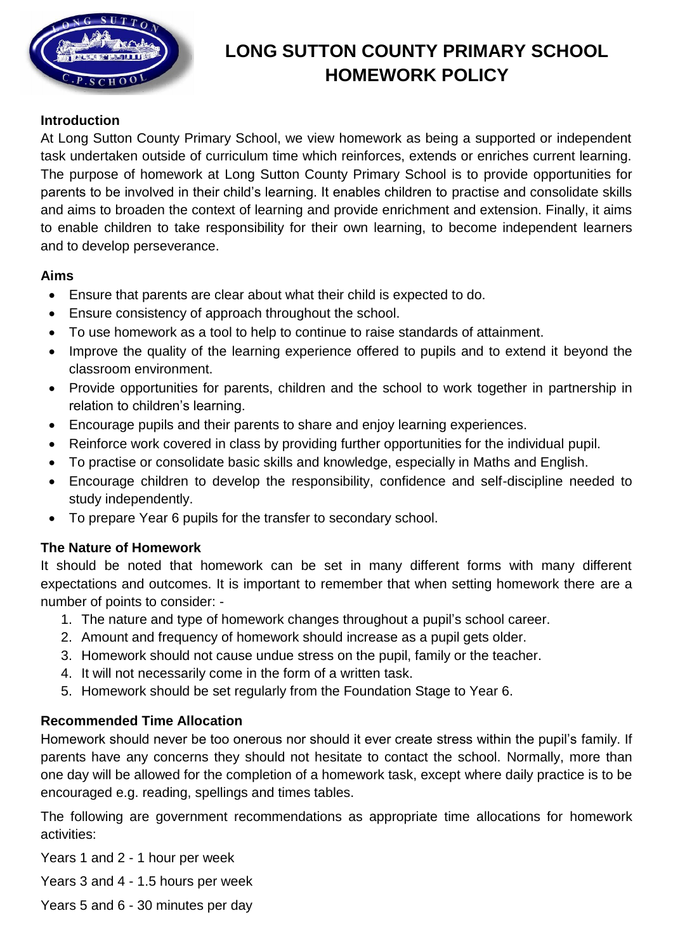

# **LONG SUTTON COUNTY PRIMARY SCHOOL HOMEWORK POLICY**

#### **Introduction**

At Long Sutton County Primary School, we view homework as being a supported or independent task undertaken outside of curriculum time which reinforces, extends or enriches current learning. The purpose of homework at Long Sutton County Primary School is to provide opportunities for parents to be involved in their child's learning. It enables children to practise and consolidate skills and aims to broaden the context of learning and provide enrichment and extension. Finally, it aims to enable children to take responsibility for their own learning, to become independent learners and to develop perseverance.

#### **Aims**

- Ensure that parents are clear about what their child is expected to do.
- Ensure consistency of approach throughout the school.
- To use homework as a tool to help to continue to raise standards of attainment.
- Improve the quality of the learning experience offered to pupils and to extend it beyond the classroom environment.
- Provide opportunities for parents, children and the school to work together in partnership in relation to children's learning.
- Encourage pupils and their parents to share and enjoy learning experiences.
- Reinforce work covered in class by providing further opportunities for the individual pupil.
- To practise or consolidate basic skills and knowledge, especially in Maths and English.
- Encourage children to develop the responsibility, confidence and self-discipline needed to study independently.
- To prepare Year 6 pupils for the transfer to secondary school.

## **The Nature of Homework**

It should be noted that homework can be set in many different forms with many different expectations and outcomes. It is important to remember that when setting homework there are a number of points to consider: -

- 1. The nature and type of homework changes throughout a pupil's school career.
- 2. Amount and frequency of homework should increase as a pupil gets older.
- 3. Homework should not cause undue stress on the pupil, family or the teacher.
- 4. It will not necessarily come in the form of a written task.
- 5. Homework should be set regularly from the Foundation Stage to Year 6.

## **Recommended Time Allocation**

Homework should never be too onerous nor should it ever create stress within the pupil's family. If parents have any concerns they should not hesitate to contact the school. Normally, more than one day will be allowed for the completion of a homework task, except where daily practice is to be encouraged e.g. reading, spellings and times tables.

The following are government recommendations as appropriate time allocations for homework activities:

Years 1 and 2 - 1 hour per week

Years 3 and 4 - 1.5 hours per week

Years 5 and 6 - 30 minutes per day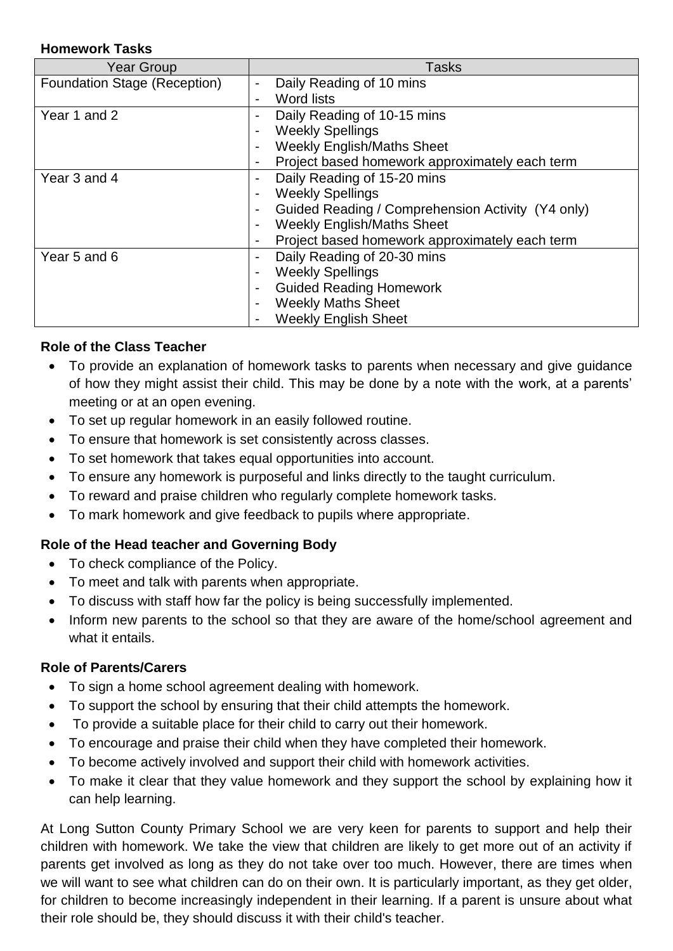#### **Homework Tasks**

| <b>Year Group</b>            | <b>Tasks</b>                                                                  |
|------------------------------|-------------------------------------------------------------------------------|
| Foundation Stage (Reception) | Daily Reading of 10 mins<br>$\blacksquare$                                    |
|                              | <b>Word lists</b><br>۰                                                        |
| Year 1 and 2                 | Daily Reading of 10-15 mins<br>$\overline{\phantom{0}}$                       |
|                              | <b>Weekly Spellings</b><br>٠                                                  |
|                              | <b>Weekly English/Maths Sheet</b><br>$\overline{\phantom{0}}$                 |
|                              | Project based homework approximately each term<br>۰                           |
| Year 3 and 4                 | Daily Reading of 15-20 mins<br>$\blacksquare$                                 |
|                              | <b>Weekly Spellings</b><br>$\overline{\phantom{0}}$                           |
|                              | Guided Reading / Comprehension Activity (Y4 only)<br>$\overline{\phantom{0}}$ |
|                              | <b>Weekly English/Maths Sheet</b><br>۰                                        |
|                              | Project based homework approximately each term<br>٠                           |
| Year 5 and 6                 | Daily Reading of 20-30 mins<br>٠                                              |
|                              | <b>Weekly Spellings</b><br>٠                                                  |
|                              | <b>Guided Reading Homework</b><br>$\overline{\phantom{0}}$                    |
|                              | <b>Weekly Maths Sheet</b><br>۰                                                |
|                              | <b>Weekly English Sheet</b>                                                   |

# **Role of the Class Teacher**

- To provide an explanation of homework tasks to parents when necessary and give guidance of how they might assist their child. This may be done by a note with the work, at a parents' meeting or at an open evening.
- To set up regular homework in an easily followed routine.
- To ensure that homework is set consistently across classes.
- To set homework that takes equal opportunities into account.
- To ensure any homework is purposeful and links directly to the taught curriculum.
- To reward and praise children who regularly complete homework tasks.
- To mark homework and give feedback to pupils where appropriate.

# **Role of the Head teacher and Governing Body**

- To check compliance of the Policy.
- To meet and talk with parents when appropriate.
- To discuss with staff how far the policy is being successfully implemented.
- Inform new parents to the school so that they are aware of the home/school agreement and what it entails.

## **Role of Parents/Carers**

- To sign a home school agreement dealing with homework.
- To support the school by ensuring that their child attempts the homework.
- To provide a suitable place for their child to carry out their homework.
- To encourage and praise their child when they have completed their homework.
- To become actively involved and support their child with homework activities.
- To make it clear that they value homework and they support the school by explaining how it can help learning.

At Long Sutton County Primary School we are very keen for parents to support and help their children with homework. We take the view that children are likely to get more out of an activity if parents get involved as long as they do not take over too much. However, there are times when we will want to see what children can do on their own. It is particularly important, as they get older, for children to become increasingly independent in their learning. If a parent is unsure about what their role should be, they should discuss it with their child's teacher.